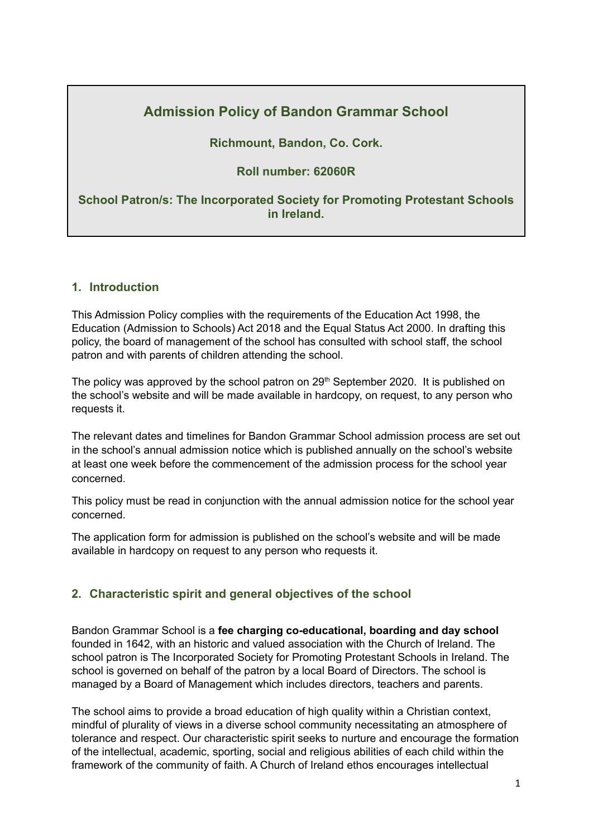# **Admission Policy of Bandon Grammar School**

### **Richmount, Bandon, Co. Cork.**

### **Roll number: 62060R**

### **School Patron/s: The Incorporated Society for Promoting Protestant Schools in Ireland.**

### **1. Introduction**

This Admission Policy complies with the requirements of the Education Act 1998, the Education (Admission to Schools) Act 2018 and the Equal Status Act 2000. In drafting this policy, the board of management of the school has consulted with school staff, the school patron and with parents of children attending the school.

The policy was approved by the school patron on 29<sup>th</sup> September 2020. It is published on the school's website and will be made available in hardcopy, on request, to any person who requests it.

The relevant dates and timelines for Bandon Grammar School admission process are set out in the school's annual admission notice which is published annually on the school's website at least one week before the commencement of the admission process for the school year concerned.

This policy must be read in conjunction with the annual admission notice for the school year concerned.

The application form for admission is published on the school's website and will be made available in hardcopy on request to any person who requests it.

### **2. Characteristic spirit and general objectives of the school**

Bandon Grammar School is a **fee charging co-educational, boarding and day school** founded in 1642, with an historic and valued association with the Church of Ireland. The school patron is The Incorporated Society for Promoting Protestant Schools in Ireland. The school is governed on behalf of the patron by a local Board of Directors. The school is managed by a Board of Management which includes directors, teachers and parents.

The school aims to provide a broad education of high quality within a Christian context, mindful of plurality of views in a diverse school community necessitating an atmosphere of tolerance and respect. Our characteristic spirit seeks to nurture and encourage the formation of the intellectual, academic, sporting, social and religious abilities of each child within the framework of the community of faith. A Church of Ireland ethos encourages intellectual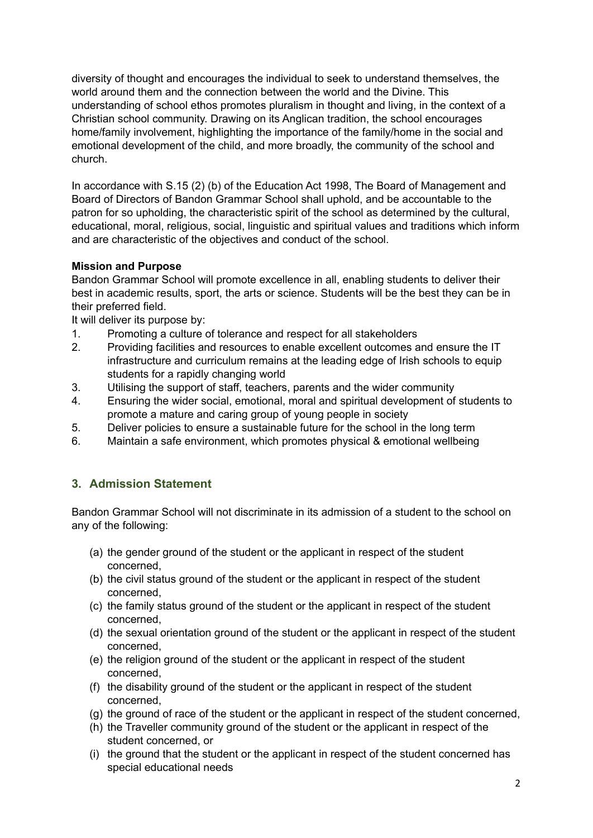diversity of thought and encourages the individual to seek to understand themselves, the world around them and the connection between the world and the Divine. This understanding of school ethos promotes pluralism in thought and living, in the context of a Christian school community. Drawing on its Anglican tradition, the school encourages home/family involvement, highlighting the importance of the family/home in the social and emotional development of the child, and more broadly, the community of the school and church.

In accordance with S.15 (2) (b) of the Education Act 1998, The Board of Management and Board of Directors of Bandon Grammar School shall uphold, and be accountable to the patron for so upholding, the characteristic spirit of the school as determined by the cultural, educational, moral, religious, social, linguistic and spiritual values and traditions which inform and are characteristic of the objectives and conduct of the school.

### **Mission and Purpose**

Bandon Grammar School will promote excellence in all, enabling students to deliver their best in academic results, sport, the arts or science. Students will be the best they can be in their preferred field.

It will deliver its purpose by:

- 1. Promoting a culture of tolerance and respect for all stakeholders
- 2. Providing facilities and resources to enable excellent outcomes and ensure the IT infrastructure and curriculum remains at the leading edge of Irish schools to equip students for a rapidly changing world
- 3. Utilising the support of staff, teachers, parents and the wider community
- 4. Ensuring the wider social, emotional, moral and spiritual development of students to promote a mature and caring group of young people in society
- 5. Deliver policies to ensure a sustainable future for the school in the long term
- 6. Maintain a safe environment, which promotes physical & emotional wellbeing

### **3. Admission Statement**

Bandon Grammar School will not discriminate in its admission of a student to the school on any of the following:

- (a) the gender ground of the student or the applicant in respect of the student concerned,
- (b) the civil status ground of the student or the applicant in respect of the student concerned,
- (c) the family status ground of the student or the applicant in respect of the student concerned,
- (d) the sexual orientation ground of the student or the applicant in respect of the student concerned,
- (e) the religion ground of the student or the applicant in respect of the student concerned,
- (f) the disability ground of the student or the applicant in respect of the student concerned,
- (g) the ground of race of the student or the applicant in respect of the student concerned,
- (h) the Traveller community ground of the student or the applicant in respect of the student concerned, or
- (i) the ground that the student or the applicant in respect of the student concerned has special educational needs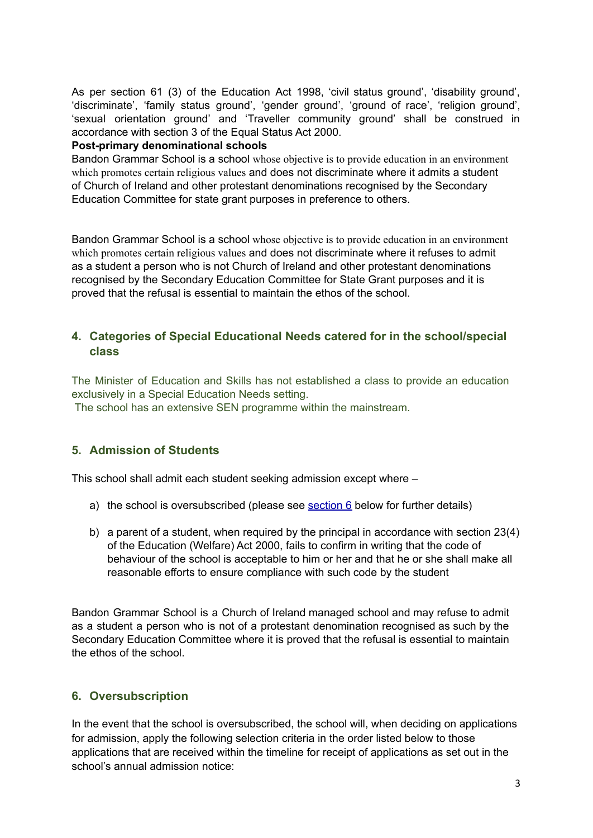As per section 61 (3) of the Education Act 1998, 'civil status ground', 'disability ground', 'discriminate', 'family status ground', 'gender ground', 'ground of race', 'religion ground', 'sexual orientation ground' and 'Traveller community ground' shall be construed in accordance with section 3 of the Equal Status Act 2000.

#### **Post-primary denominational schools**

Bandon Grammar School is a school whose objective is to provide education in an environment which promotes certain religious values and does not discriminate where it admits a student of Church of Ireland and other protestant denominations recognised by the Secondary Education Committee for state grant purposes in preference to others.

Bandon Grammar School is a school whose objective is to provide education in an environment which promotes certain religious values and does not discriminate where it refuses to admit as a student a person who is not Church of Ireland and other protestant denominations recognised by the Secondary Education Committee for State Grant purposes and it is proved that the refusal is essential to maintain the ethos of the school.

## **4. Categories of Special Educational Needs catered for in the school/special class**

The Minister of Education and Skills has not established a class to provide an education exclusively in a Special Education Needs setting.

The school has an extensive SEN programme within the mainstream.

## **5. Admission of Students**

This school shall admit each student seeking admission except where –

- a) the school is oversubscribed (please see [section](#page-2-0)  $6$  below for further details)
- b) a parent of a student, when required by the principal in accordance with section 23(4) of the Education (Welfare) Act 2000, fails to confirm in writing that the code of behaviour of the school is acceptable to him or her and that he or she shall make all reasonable efforts to ensure compliance with such code by the student

Bandon Grammar School is a Church of Ireland managed school and may refuse to admit as a student a person who is not of a protestant denomination recognised as such by the Secondary Education Committee where it is proved that the refusal is essential to maintain the ethos of the school.

## <span id="page-2-0"></span>**6. Oversubscription**

In the event that the school is oversubscribed, the school will, when deciding on applications for admission, apply the following selection criteria in the order listed below to those applications that are received within the timeline for receipt of applications as set out in the school's annual admission notice: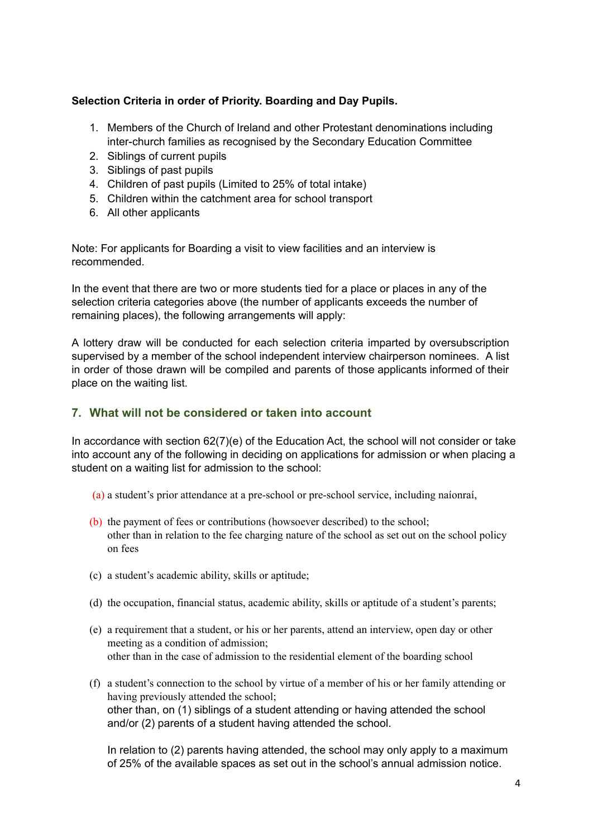### **Selection Criteria in order of Priority. Boarding and Day Pupils.**

- 1. Members of the Church of Ireland and other Protestant denominations including inter-church families as recognised by the Secondary Education Committee
- 2. Siblings of current pupils
- 3. Siblings of past pupils
- 4. Children of past pupils (Limited to 25% of total intake)
- 5. Children within the catchment area for school transport
- 6. All other applicants

Note: For applicants for Boarding a visit to view facilities and an interview is recommended.

In the event that there are two or more students tied for a place or places in any of the selection criteria categories above (the number of applicants exceeds the number of remaining places), the following arrangements will apply:

A lottery draw will be conducted for each selection criteria imparted by oversubscription supervised by a member of the school independent interview chairperson nominees. A list in order of those drawn will be compiled and parents of those applicants informed of their place on the waiting list.

### **7. What will not be considered or taken into account**

In accordance with section 62(7)(e) of the Education Act, the school will not consider or take into account any of the following in deciding on applications for admission or when placing a student on a waiting list for admission to the school:

- (a) a student's prior attendance at a pre-school or pre-school service, including naíonraí,
- (b) the payment of fees or contributions (howsoever described) to the school; other than in relation to the fee charging nature of the school as set out on the school policy on fees
- (c) a student's academic ability, skills or aptitude;
- (d) the occupation, financial status, academic ability, skills or aptitude of a student's parents;
- (e) a requirement that a student, or his or her parents, attend an interview, open day or other meeting as a condition of admission; other than in the case of admission to the residential element of the boarding school
- (f) a student's connection to the school by virtue of a member of his or her family attending or having previously attended the school; other than, on (1) siblings of a student attending or having attended the school and/or (2) parents of a student having attended the school.

In relation to (2) parents having attended, the school may only apply to a maximum of 25% of the available spaces as set out in the school's annual admission notice.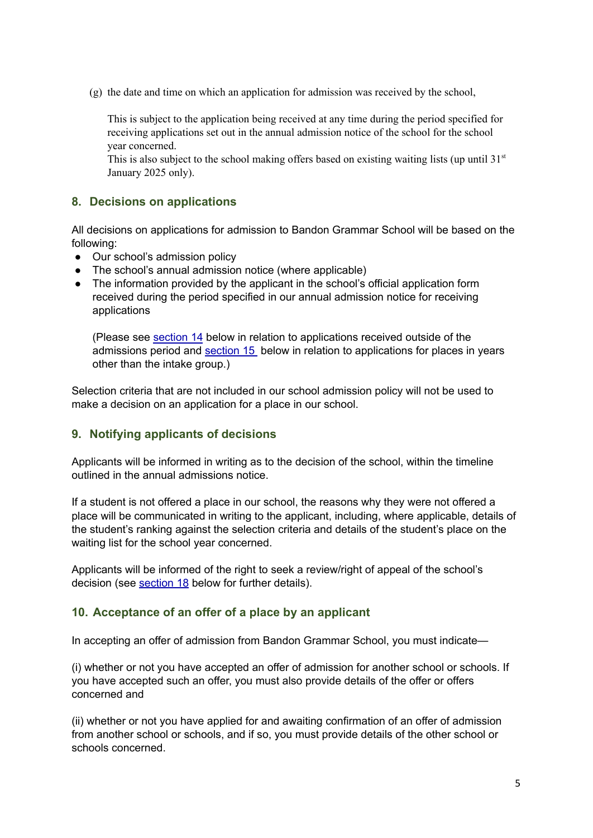(g) the date and time on which an application for admission was received by the school,

This is subject to the application being received at any time during the period specified for receiving applications set out in the annual admission notice of the school for the school year concerned.

This is also subject to the school making offers based on existing waiting lists (up until 31<sup>st</sup> January 2025 only).

### **8. Decisions on applications**

All decisions on applications for admission to Bandon Grammar School will be based on the following:

- **●** Our school's admission policy
- **●** The school's annual admission notice (where applicable)
- **●** The information provided by the applicant in the school's official application form received during the period specified in our annual admission notice for receiving applications

(Please see [section](#page-6-0) 14 below in relation to applications received outside of the admissions period and [section](#page-6-1) 15 below in relation to applications for places in years other than the intake group.)

Selection criteria that are not included in our school admission policy will not be used to make a decision on an application for a place in our school.

#### **9. Notifying applicants of decisions**

Applicants will be informed in writing as to the decision of the school, within the timeline outlined in the annual admissions notice.

If a student is not offered a place in our school, the reasons why they were not offered a place will be communicated in writing to the applicant, including, where applicable, details of the student's ranking against the selection criteria and details of the student's place on the waiting list for the school year concerned.

Applicants will be informed of the right to seek a review/right of appeal of the school's decision (see [section](#page-7-0) 18 below for further details).

#### <span id="page-4-0"></span>**10. Acceptance of an offer of a place by an applicant**

In accepting an offer of admission from Bandon Grammar School, you must indicate—

(i) whether or not you have accepted an offer of admission for another school or schools. If you have accepted such an offer, you must also provide details of the offer or offers concerned and

(ii) whether or not you have applied for and awaiting confirmation of an offer of admission from another school or schools, and if so, you must provide details of the other school or schools concerned.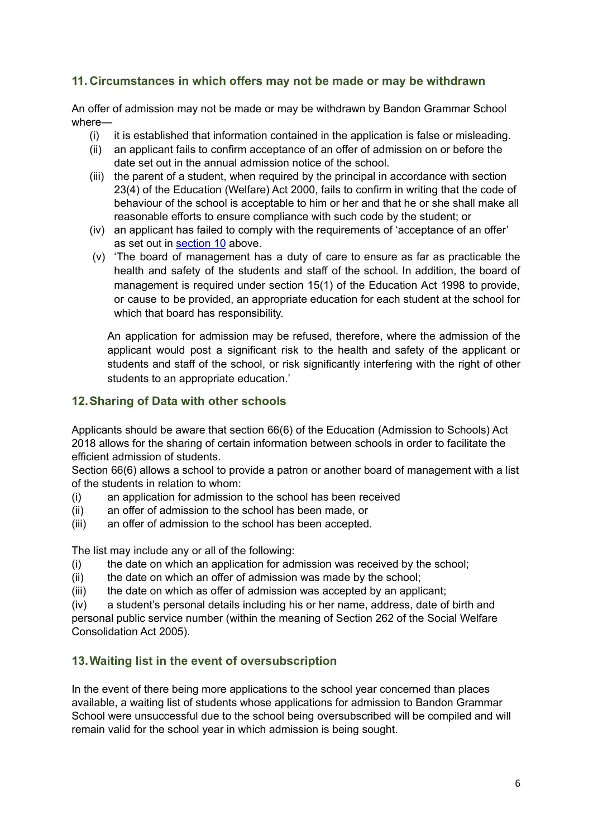## **11. Circumstances in which offers may not be made or may be withdrawn**

An offer of admission may not be made or may be withdrawn by Bandon Grammar School where—

- (i) it is established that information contained in the application is false or misleading.
- (ii) an applicant fails to confirm acceptance of an offer of admission on or before the date set out in the annual admission notice of the school.
- (iii) the parent of a student, when required by the principal in accordance with section 23(4) of the Education (Welfare) Act 2000, fails to confirm in writing that the code of behaviour of the school is acceptable to him or her and that he or she shall make all reasonable efforts to ensure compliance with such code by the student; or
- (iv) an applicant has failed to comply with the requirements of 'acceptance of an offer' as set out in [section](#page-4-0) 10 above.
- (v) 'The board of management has a duty of care to ensure as far as practicable the health and safety of the students and staff of the school. In addition, the board of management is required under section 15(1) of the Education Act 1998 to provide, or cause to be provided, an appropriate education for each student at the school for which that board has responsibility.

An application for admission may be refused, therefore, where the admission of the applicant would post a significant risk to the health and safety of the applicant or students and staff of the school, or risk significantly interfering with the right of other students to an appropriate education.'

### **12.Sharing of Data with other schools**

Applicants should be aware that section 66(6) of the Education (Admission to Schools) Act 2018 allows for the sharing of certain information between schools in order to facilitate the efficient admission of students.

Section 66(6) allows a school to provide a patron or another board of management with a list of the students in relation to whom:

- (i) an application for admission to the school has been received
- (ii) an offer of admission to the school has been made, or
- (iii) an offer of admission to the school has been accepted.

The list may include any or all of the following:

- (i) the date on which an application for admission was received by the school;
- (ii) the date on which an offer of admission was made by the school;
- (iii) the date on which as offer of admission was accepted by an applicant;

(iv) a student's personal details including his or her name, address, date of birth and personal public service number (within the meaning of Section 262 of the Social Welfare Consolidation Act 2005).

## **13.Waiting list in the event of oversubscription**

In the event of there being more applications to the school year concerned than places available, a waiting list of students whose applications for admission to Bandon Grammar School were unsuccessful due to the school being oversubscribed will be compiled and will remain valid for the school year in which admission is being sought.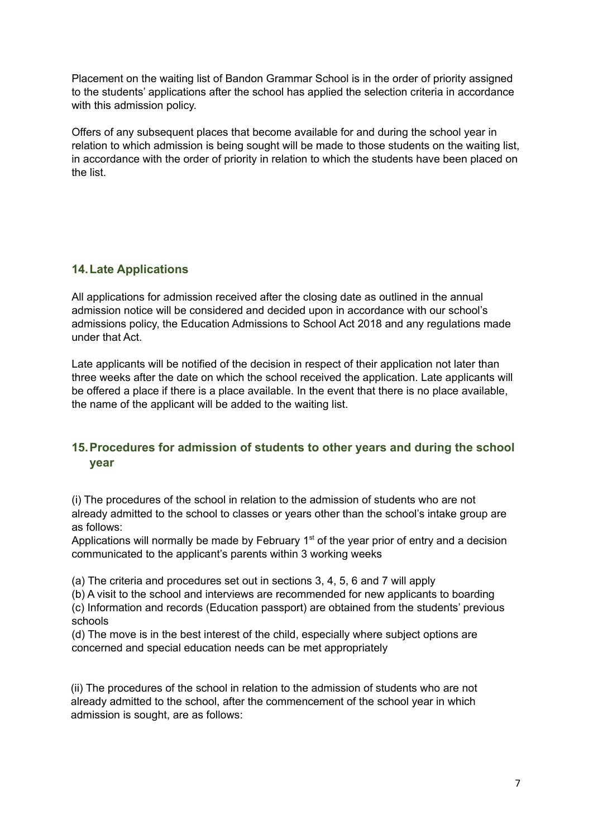Placement on the waiting list of Bandon Grammar School is in the order of priority assigned to the students' applications after the school has applied the selection criteria in accordance with this admission policy.

Offers of any subsequent places that become available for and during the school year in relation to which admission is being sought will be made to those students on the waiting list, in accordance with the order of priority in relation to which the students have been placed on the list.

### <span id="page-6-0"></span>**14.Late Applications**

All applications for admission received after the closing date as outlined in the annual admission notice will be considered and decided upon in accordance with our school's admissions policy, the Education Admissions to School Act 2018 and any regulations made under that Act.

Late applicants will be notified of the decision in respect of their application not later than three weeks after the date on which the school received the application. Late applicants will be offered a place if there is a place available. In the event that there is no place available, the name of the applicant will be added to the waiting list.

## <span id="page-6-1"></span>**15.Procedures for admission of students to other years and during the school year**

(i) The procedures of the school in relation to the admission of students who are not already admitted to the school to classes or years other than the school's intake group are as follows:

Applications will normally be made by February  $1<sup>st</sup>$  of the year prior of entry and a decision communicated to the applicant's parents within 3 working weeks

(a) The criteria and procedures set out in sections 3, 4, 5, 6 and 7 will apply

(b) A visit to the school and interviews are recommended for new applicants to boarding

(c) Information and records (Education passport) are obtained from the students' previous schools

(d) The move is in the best interest of the child, especially where subject options are concerned and special education needs can be met appropriately

(ii) The procedures of the school in relation to the admission of students who are not already admitted to the school, after the commencement of the school year in which admission is sought, are as follows: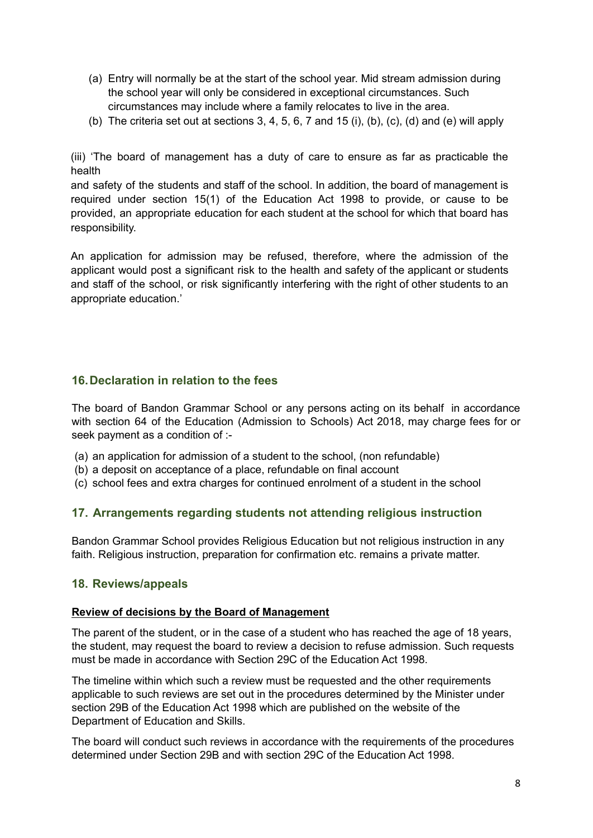- (a) Entry will normally be at the start of the school year. Mid stream admission during the school year will only be considered in exceptional circumstances. Such circumstances may include where a family relocates to live in the area.
- (b) The criteria set out at sections 3, 4, 5, 6, 7 and 15 (i), (b), (c), (d) and (e) will apply

(iii) 'The board of management has a duty of care to ensure as far as practicable the health

and safety of the students and staff of the school. In addition, the board of management is required under section 15(1) of the Education Act 1998 to provide, or cause to be provided, an appropriate education for each student at the school for which that board has responsibility.

An application for admission may be refused, therefore, where the admission of the applicant would post a significant risk to the health and safety of the applicant or students and staff of the school, or risk significantly interfering with the right of other students to an appropriate education.'

### **16.Declaration in relation to the fees**

The board of Bandon Grammar School or any persons acting on its behalf in accordance with section 64 of the Education (Admission to Schools) Act 2018, may charge fees for or seek payment as a condition of :-

- (a) an application for admission of a student to the school, (non refundable)
- (b) a deposit on acceptance of a place, refundable on final account
- (c) school fees and extra charges for continued enrolment of a student in the school

#### **17. Arrangements regarding students not attending religious instruction**

Bandon Grammar School provides Religious Education but not religious instruction in any faith. Religious instruction, preparation for confirmation etc. remains a private matter.

#### <span id="page-7-0"></span>**18. Reviews/appeals**

#### **Review of decisions by the Board of Management**

The parent of the student, or in the case of a student who has reached the age of 18 years, the student, may request the board to review a decision to refuse admission. Such requests must be made in accordance with Section 29C of the Education Act 1998.

The timeline within which such a review must be requested and the other requirements applicable to such reviews are set out in the procedures determined by the Minister under section 29B of the Education Act 1998 which are published on the website of the Department of Education and Skills.

The board will conduct such reviews in accordance with the requirements of the procedures determined under Section 29B and with section 29C of the Education Act 1998.